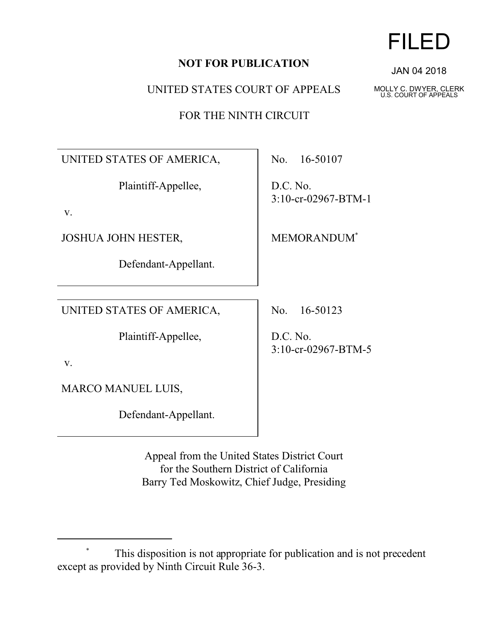## **NOT FOR PUBLICATION**

UNITED STATES COURT OF APPEALS

FOR THE NINTH CIRCUIT

UNITED STATES OF AMERICA,

Plaintiff-Appellee,

v.

JOSHUA JOHN HESTER,

Defendant-Appellant.

UNITED STATES OF AMERICA,

Plaintiff-Appellee,

v.

MARCO MANUEL LUIS,

Defendant-Appellant.

No. 16-50107

D.C. No. 3:10-cr-02967-BTM-1

MEMORANDUM\*

No. 16-50123

D.C. No. 3:10-cr-02967-BTM-5

Appeal from the United States District Court for the Southern District of California Barry Ted Moskowitz, Chief Judge, Presiding FILED

JAN 04 2018

MOLLY C. DWYER, CLERK U.S. COURT OF APPEALS

This disposition is not appropriate for publication and is not precedent except as provided by Ninth Circuit Rule 36-3.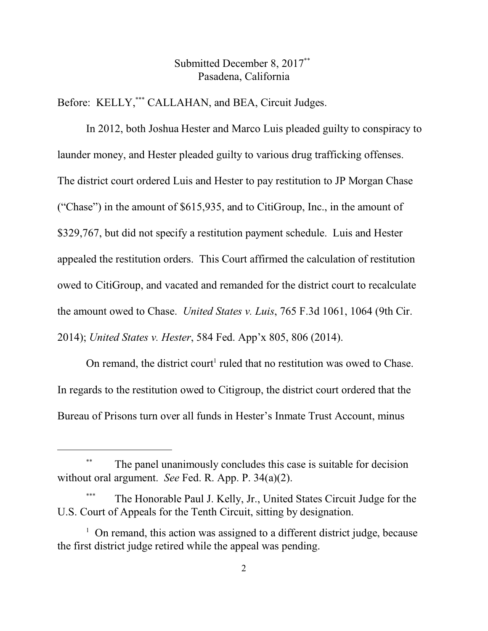## Submitted December 8, 2017\*\* Pasadena, California

Before: KELLY,\*\*\* CALLAHAN, and BEA, Circuit Judges.

In 2012, both Joshua Hester and Marco Luis pleaded guilty to conspiracy to launder money, and Hester pleaded guilty to various drug trafficking offenses. The district court ordered Luis and Hester to pay restitution to JP Morgan Chase ("Chase") in the amount of \$615,935, and to CitiGroup, Inc., in the amount of \$329,767, but did not specify a restitution payment schedule. Luis and Hester appealed the restitution orders. This Court affirmed the calculation of restitution owed to CitiGroup, and vacated and remanded for the district court to recalculate the amount owed to Chase. *United States v. Luis*, 765 F.3d 1061, 1064 (9th Cir. 2014); *United States v. Hester*, 584 Fed. App'x 805, 806 (2014).

On remand, the district court<sup>1</sup> ruled that no restitution was owed to Chase. In regards to the restitution owed to Citigroup, the district court ordered that the Bureau of Prisons turn over all funds in Hester's Inmate Trust Account, minus

The panel unanimously concludes this case is suitable for decision without oral argument. *See* Fed. R. App. P. 34(a)(2).

The Honorable Paul J. Kelly, Jr., United States Circuit Judge for the U.S. Court of Appeals for the Tenth Circuit, sitting by designation.

<sup>&</sup>lt;sup>1</sup> On remand, this action was assigned to a different district judge, because the first district judge retired while the appeal was pending.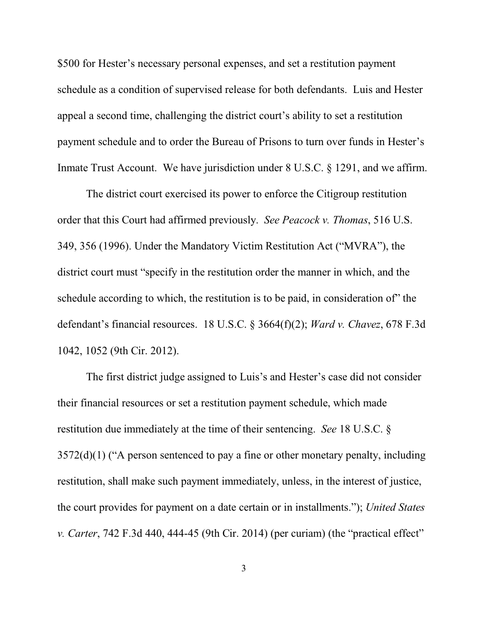\$500 for Hester's necessary personal expenses, and set a restitution payment schedule as a condition of supervised release for both defendants. Luis and Hester appeal a second time, challenging the district court's ability to set a restitution payment schedule and to order the Bureau of Prisons to turn over funds in Hester's Inmate Trust Account. We have jurisdiction under 8 U.S.C. § 1291, and we affirm.

The district court exercised its power to enforce the Citigroup restitution order that this Court had affirmed previously. *See Peacock v. Thomas*, 516 U.S. 349, 356 (1996). Under the Mandatory Victim Restitution Act ("MVRA"), the district court must "specify in the restitution order the manner in which, and the schedule according to which, the restitution is to be paid, in consideration of" the defendant's financial resources. 18 U.S.C. § 3664(f)(2); *Ward v. Chavez*, 678 F.3d 1042, 1052 (9th Cir. 2012).

The first district judge assigned to Luis's and Hester's case did not consider their financial resources or set a restitution payment schedule, which made restitution due immediately at the time of their sentencing. *See* 18 U.S.C. §  $3572(d)(1)$  ("A person sentenced to pay a fine or other monetary penalty, including restitution, shall make such payment immediately, unless, in the interest of justice, the court provides for payment on a date certain or in installments."); *United States v. Carter*, 742 F.3d 440, 444-45 (9th Cir. 2014) (per curiam) (the "practical effect"